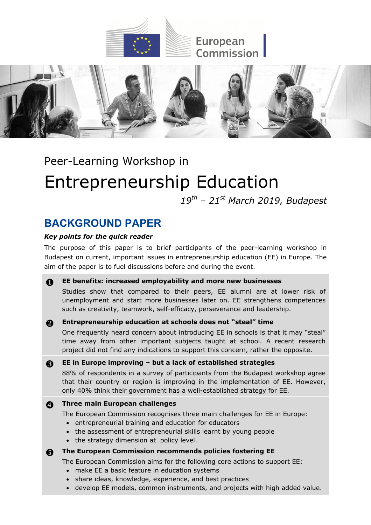



Peer-Learning Workshop in

# **Entrepreneurship Education**

*19th – 21st March 2019, Budapest*

# **BACKGROUND PAPER**

# *Key points for the quick reader*

The purpose of this paper is to brief participants of the peer-learning workshop in Budapest on current, important issues in entrepreneurship education (EE) in Europe. The aim of the paper is to fuel discussions before and during the event.

# **A** EE benefits: increased employability and more new businesses

Studies show that compared to their peers, EE alumni are at lower risk of unemployment and start more businesses later on. EE strengthens competences such as creativity, teamwork, self-efficacy, perseverance and leadership.

# **Entrepreneurship education at schools does not "steal" time**

One frequently heard concern about introducing EE in schools is that it may "steal" time away from other important subjects taught at school. A recent research project did not find any indications to support this concern, rather the opposite.

**EE in Europe improving – but a lack of established strategies**

88% of respondents in a survey of participants from the Budapest workshop agree that their country or region is improving in the implementation of EE. However, only 40% think their government has a well-established strategy for EE.

# **Allerges** Three main European challenges

The European Commission recognises three main challenges for EE in Europe:

- entrepreneurial training and education for educators
- the assessment of entrepreneurial skills learnt by young people
- the strategy dimension at policy level.

**6** The European Commission recommends policies fostering EE

The European Commission aims for the following core actions to support EE:

- make EE a basic feature in education systems
- share ideas, knowledge, experience, and best practices
- develop EE models, common instruments, and projects with high added value.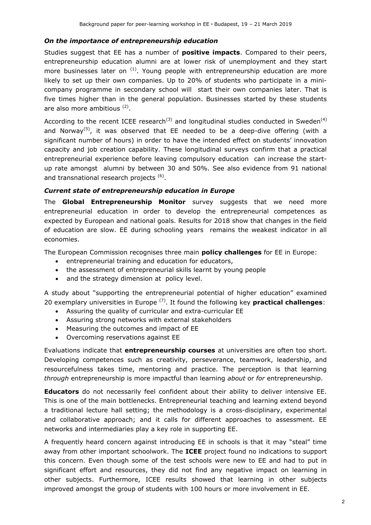#### *On the importance of entrepreneurship education*

Studies suggest that EE has a number of **positive impacts**. Compared to their peers, entrepreneurship education alumni are at lower risk of unemployment and they start more businesses later on  $(1)$ . Young people with entrepreneurship education are more likely to set up their own companies. Up to 20% of students who participate in a minicompany programme in secondary school will start their own companies later. That is five times higher than in the general population. Businesses started by these students are also more ambitious <sup>(2)</sup>.

According to the recent ICEE research<sup>(3)</sup> and longitudinal studies conducted in Sweden<sup>(4)</sup> and Norway<sup>(5)</sup>, it was observed that EE needed to be a deep-dive offering (with a significant number of hours) in order to have the intended effect on students' innovation capacity and job creation capability. These longitudinal surveys confirm that a practical entrepreneurial experience before leaving compulsory education can increase the startup rate amongst alumni by between 30 and 50%. See also evidence from 91 national and transnational research projects <sup>(6)</sup>.

#### *Current state of entrepreneurship education in Europe*

The **Global Entrepreneurship Monitor** survey suggests that we need more entrepreneurial education in order to develop the entrepreneurial competences as expected by European and national goals. Results for 2018 show that changes in the field of education are slow. EE during schooling years remains the weakest indicator in all economies.

The European Commission recognises three main **policy challenges** for EE in Europe:

- entrepreneurial training and education for educators,
- the assessment of entrepreneurial skills learnt by young people
- and the strategy dimension at policy level.

A study about "supporting the entrepreneurial potential of higher education" examined 20 exemplary universities in Europe (7). It found the following key **practical challenges**:

- Assuring the quality of curricular and extra-curricular EE
- Assuring strong networks with external stakeholders
- Measuring the outcomes and impact of EE
- Overcoming reservations against EE

Evaluations indicate that **entrepreneurship courses** at universities are often too short. Developing competences such as creativity, perseverance, teamwork, leadership, and resourcefulness takes time, mentoring and practice. The perception is that learning *through* entrepreneurship is more impactful than learning *about* or *for* entrepreneurship.

**Educators** do not necessarily feel confident about their ability to deliver intensive EE. This is one of the main bottlenecks. Entrepreneurial teaching and learning extend beyond a traditional lecture hall setting; the methodology is a cross-disciplinary, experimental and collaborative approach; and it calls for different approaches to assessment. EE networks and intermediaries play a key role in supporting EE.

A frequently heard concern against introducing EE in schools is that it may "steal" time away from other important schoolwork. The **ICEE** project found no indications to support this concern. Even though some of the test schools were new to EE and had to put in significant effort and resources, they did not find any negative impact on learning in other subjects. Furthermore, ICEE results showed that learning in other subjects improved amongst the group of students with 100 hours or more involvement in EE.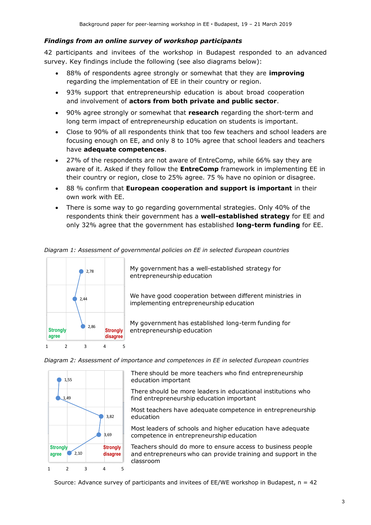#### *Findings from an online survey of workshop participants*

42 participants and invitees of the workshop in Budapest responded to an advanced survey. Key findings include the following (see also diagrams below):

- 88% of respondents agree strongly or somewhat that they are **improving** regarding the implementation of EE in their country or region.
- 93% support that entrepreneurship education is about broad cooperation and involvement of **actors from both private and public sector**.
- 90% agree strongly or somewhat that **research** regarding the short-term and long term impact of entrepreneurship education on students is important.
- Close to 90% of all respondents think that too few teachers and school leaders are focusing enough on EE, and only 8 to 10% agree that school leaders and teachers have **adequate competences**.
- 27% of the respondents are not aware of EntreComp, while 66% say they are aware of it. Asked if they follow the **EntreComp** framework in implementing EE in their country or region, close to 25% agree. 75 % have no opinion or disagree.
- 88 % confirm that **European cooperation and support is important** in their own work with EE.
- There is some way to go regarding governmental strategies. Only 40% of the respondents think their government has a **well-established strategy** for EE and only 32% agree that the government has established **long-term funding** for EE.



*Diagram 1: Assessment of governmental policies on EE in selected European countries*

My government has a well-established strategy for entrepreneurship education

We have good cooperation between different ministries in implementing entrepreneurship education

My government has established long-term funding for entrepreneurship education

*Diagram 2: Assessment of importance and competences in EE in selected European countries*



There should be more teachers who find entrepreneurship education important

There should be more leaders in educational institutions who find entrepreneurship education important

Most teachers have adequate competence in entrepreneurship education

Most leaders of schools and higher education have adequate competence in entrepreneurship education

Teachers should do more to ensure access to business people and entrepreneurs who can provide training and support in the classroom

Source: Advance survey of participants and invitees of  $EE/WE$  workshop in Budapest,  $n = 42$